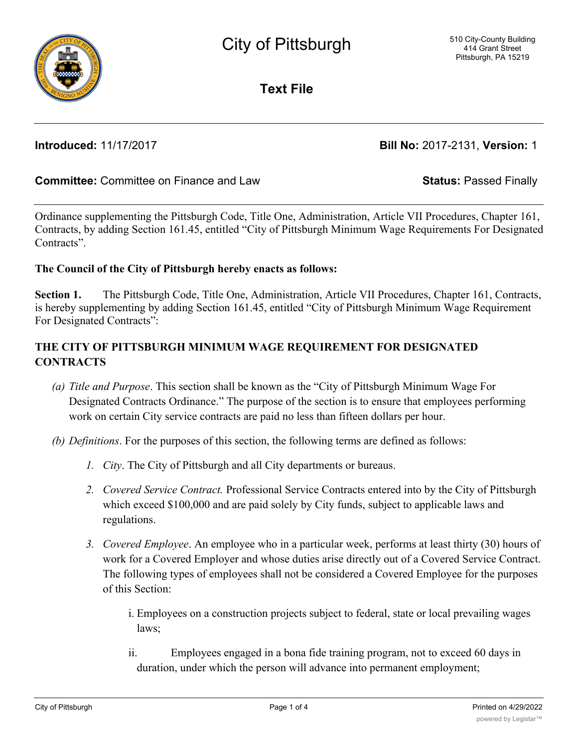

**Text File**

**Introduced:** 11/17/2017 **Bill No:** 2017-2131, **Version:** 1

## **Committee:** Committee on Finance and Law **Status:** Passed Finally

Ordinance supplementing the Pittsburgh Code, Title One, Administration, Article VII Procedures, Chapter 161, Contracts, by adding Section 161.45, entitled "City of Pittsburgh Minimum Wage Requirements For Designated Contracts".

## **The Council of the City of Pittsburgh hereby enacts as follows:**

**Section 1.** The Pittsburgh Code, Title One, Administration, Article VII Procedures, Chapter 161, Contracts, is hereby supplementing by adding Section 161.45, entitled "City of Pittsburgh Minimum Wage Requirement For Designated Contracts":

# **THE CITY OF PITTSBURGH MINIMUM WAGE REQUIREMENT FOR DESIGNATED CONTRACTS**

- *(a) Title and Purpose*. This section shall be known as the "City of Pittsburgh Minimum Wage For Designated Contracts Ordinance." The purpose of the section is to ensure that employees performing work on certain City service contracts are paid no less than fifteen dollars per hour.
- *(b) Definitions*. For the purposes of this section, the following terms are defined as follows:
	- *1. City*. The City of Pittsburgh and all City departments or bureaus.
	- *2. Covered Service Contract.* Professional Service Contracts entered into by the City of Pittsburgh which exceed \$100,000 and are paid solely by City funds, subject to applicable laws and regulations.
	- *3. Covered Employee*. An employee who in a particular week, performs at least thirty (30) hours of work for a Covered Employer and whose duties arise directly out of a Covered Service Contract. The following types of employees shall not be considered a Covered Employee for the purposes of this Section:
		- i. Employees on a construction projects subject to federal, state or local prevailing wages laws;
		- ii. Employees engaged in a bona fide training program, not to exceed 60 days in duration, under which the person will advance into permanent employment;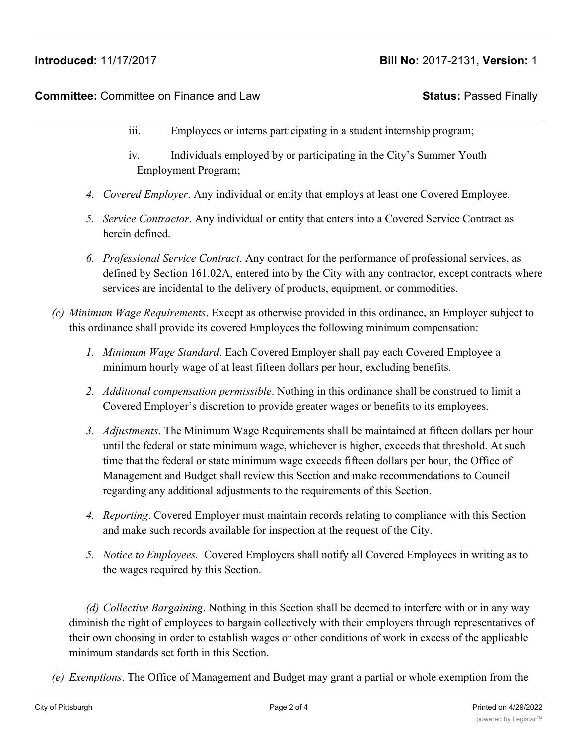# **Introduced:** 11/17/2017 **Bill No:** 2017-2131, **Version:** 1

## **Committee:** Committee on Finance and Law **Status:** Passed Finally

- iii. Employees or interns participating in a student internship program;
- iv. Individuals employed by or participating in the City's Summer Youth Employment Program;
- *4. Covered Employer*. Any individual or entity that employs at least one Covered Employee.
- *5. Service Contractor*. Any individual or entity that enters into a Covered Service Contract as herein defined.
- *6. Professional Service Contract*. Any contract for the performance of professional services, as defined by Section 161.02A, entered into by the City with any contractor, except contracts where services are incidental to the delivery of products, equipment, or commodities.
- *(c) Minimum Wage Requirements*. Except as otherwise provided in this ordinance, an Employer subject to this ordinance shall provide its covered Employees the following minimum compensation:
	- *1. Minimum Wage Standard*. Each Covered Employer shall pay each Covered Employee a minimum hourly wage of at least fifteen dollars per hour, excluding benefits.
	- *2. Additional compensation permissible*. Nothing in this ordinance shall be construed to limit a Covered Employer's discretion to provide greater wages or benefits to its employees.
	- *3. Adjustments*. The Minimum Wage Requirements shall be maintained at fifteen dollars per hour until the federal or state minimum wage, whichever is higher, exceeds that threshold. At such time that the federal or state minimum wage exceeds fifteen dollars per hour, the Office of Management and Budget shall review this Section and make recommendations to Council regarding any additional adjustments to the requirements of this Section.
	- *4. Reporting*. Covered Employer must maintain records relating to compliance with this Section and make such records available for inspection at the request of the City.
	- *5. Notice to Employees.* Covered Employers shall notify all Covered Employees in writing as to the wages required by this Section.

*(d) Collective Bargaining*. Nothing in this Section shall be deemed to interfere with or in any way diminish the right of employees to bargain collectively with their employers through representatives of their own choosing in order to establish wages or other conditions of work in excess of the applicable minimum standards set forth in this Section.

*(e) Exemptions*. The Office of Management and Budget may grant a partial or whole exemption from the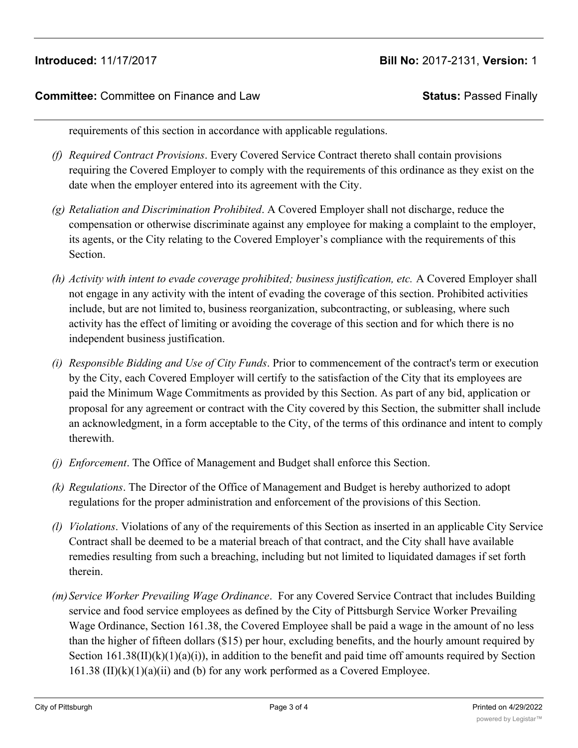## **Committee:** Committee on Finance and Law **Status:** Passed Finally

requirements of this section in accordance with applicable regulations.

- *(f) Required Contract Provisions*. Every Covered Service Contract thereto shall contain provisions requiring the Covered Employer to comply with the requirements of this ordinance as they exist on the date when the employer entered into its agreement with the City.
- *(g) Retaliation and Discrimination Prohibited*. A Covered Employer shall not discharge, reduce the compensation or otherwise discriminate against any employee for making a complaint to the employer, its agents, or the City relating to the Covered Employer's compliance with the requirements of this Section.
- *(h) Activity with intent to evade coverage prohibited; business justification, etc.* A Covered Employer shall not engage in any activity with the intent of evading the coverage of this section. Prohibited activities include, but are not limited to, business reorganization, subcontracting, or subleasing, where such activity has the effect of limiting or avoiding the coverage of this section and for which there is no independent business justification.
- *(i) Responsible Bidding and Use of City Funds*. Prior to commencement of the contract's term or execution by the City, each Covered Employer will certify to the satisfaction of the City that its employees are paid the Minimum Wage Commitments as provided by this Section. As part of any bid, application or proposal for any agreement or contract with the City covered by this Section, the submitter shall include an acknowledgment, in a form acceptable to the City, of the terms of this ordinance and intent to comply therewith.
- *(j) Enforcement*. The Office of Management and Budget shall enforce this Section.
- *(k) Regulations*. The Director of the Office of Management and Budget is hereby authorized to adopt regulations for the proper administration and enforcement of the provisions of this Section.
- *(l) Violations*. Violations of any of the requirements of this Section as inserted in an applicable City Service Contract shall be deemed to be a material breach of that contract, and the City shall have available remedies resulting from such a breaching, including but not limited to liquidated damages if set forth therein.
- *(m)Service Worker Prevailing Wage Ordinance*. For any Covered Service Contract that includes Building service and food service employees as defined by the City of Pittsburgh Service Worker Prevailing Wage Ordinance, Section 161.38, the Covered Employee shall be paid a wage in the amount of no less than the higher of fifteen dollars (\$15) per hour, excluding benefits, and the hourly amount required by Section  $161.38(II)(k)(1)(a)(i)$ , in addition to the benefit and paid time off amounts required by Section  $161.38$  (II)(k)(1)(a)(ii) and (b) for any work performed as a Covered Employee.